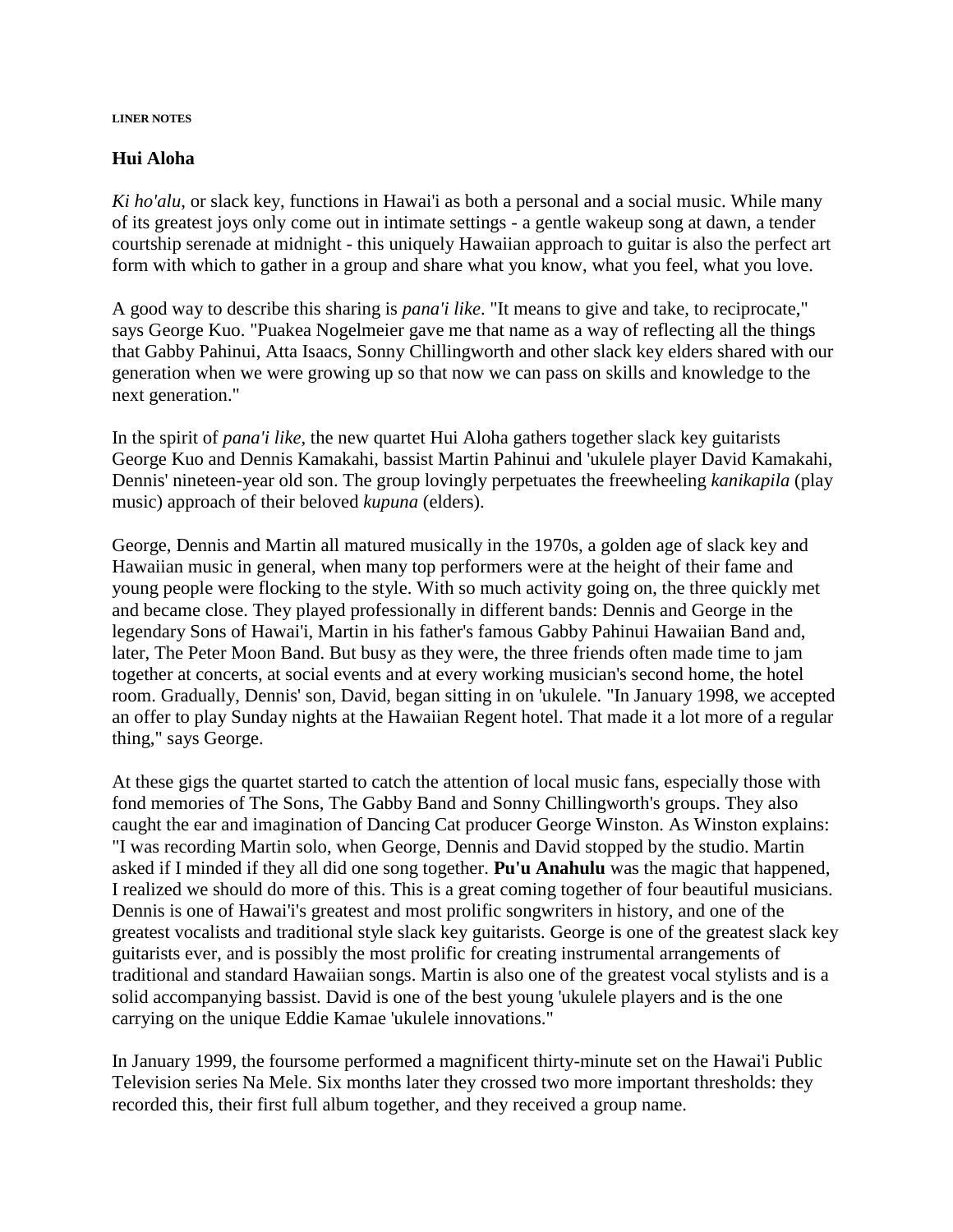#### **LINER NOTES**

# **Hui Aloha**

*Ki ho'alu*, or slack key, functions in Hawai'i as both a personal and a social music. While many of its greatest joys only come out in intimate settings - a gentle wakeup song at dawn, a tender courtship serenade at midnight - this uniquely Hawaiian approach to guitar is also the perfect art form with which to gather in a group and share what you know, what you feel, what you love.

A good way to describe this sharing is *pana'i like*. "It means to give and take, to reciprocate," says George Kuo. "Puakea Nogelmeier gave me that name as a way of reflecting all the things that Gabby Pahinui, Atta Isaacs, Sonny Chillingworth and other slack key elders shared with our generation when we were growing up so that now we can pass on skills and knowledge to the next generation."

In the spirit of *pana'i like*, the new quartet Hui Aloha gathers together slack key guitarists George Kuo and Dennis Kamakahi, bassist Martin Pahinui and 'ukulele player David Kamakahi, Dennis' nineteen-year old son. The group lovingly perpetuates the freewheeling *kanikapila* (play music) approach of their beloved *kupuna* (elders).

George, Dennis and Martin all matured musically in the 1970s, a golden age of slack key and Hawaiian music in general, when many top performers were at the height of their fame and young people were flocking to the style. With so much activity going on, the three quickly met and became close. They played professionally in different bands: Dennis and George in the legendary Sons of Hawai'i, Martin in his father's famous Gabby Pahinui Hawaiian Band and, later, The Peter Moon Band. But busy as they were, the three friends often made time to jam together at concerts, at social events and at every working musician's second home, the hotel room. Gradually, Dennis' son, David, began sitting in on 'ukulele. "In January 1998, we accepted an offer to play Sunday nights at the Hawaiian Regent hotel. That made it a lot more of a regular thing," says George.

At these gigs the quartet started to catch the attention of local music fans, especially those with fond memories of The Sons, The Gabby Band and Sonny Chillingworth's groups. They also caught the ear and imagination of Dancing Cat producer George Winston. As Winston explains: "I was recording Martin solo, when George, Dennis and David stopped by the studio. Martin asked if I minded if they all did one song together. **Pu'u Anahulu** was the magic that happened, I realized we should do more of this. This is a great coming together of four beautiful musicians. Dennis is one of Hawai'i's greatest and most prolific songwriters in history, and one of the greatest vocalists and traditional style slack key guitarists. George is one of the greatest slack key guitarists ever, and is possibly the most prolific for creating instrumental arrangements of traditional and standard Hawaiian songs. Martin is also one of the greatest vocal stylists and is a solid accompanying bassist. David is one of the best young 'ukulele players and is the one carrying on the unique Eddie Kamae 'ukulele innovations."

In January 1999, the foursome performed a magnificent thirty-minute set on the Hawai'i Public Television series Na Mele. Six months later they crossed two more important thresholds: they recorded this, their first full album together, and they received a group name.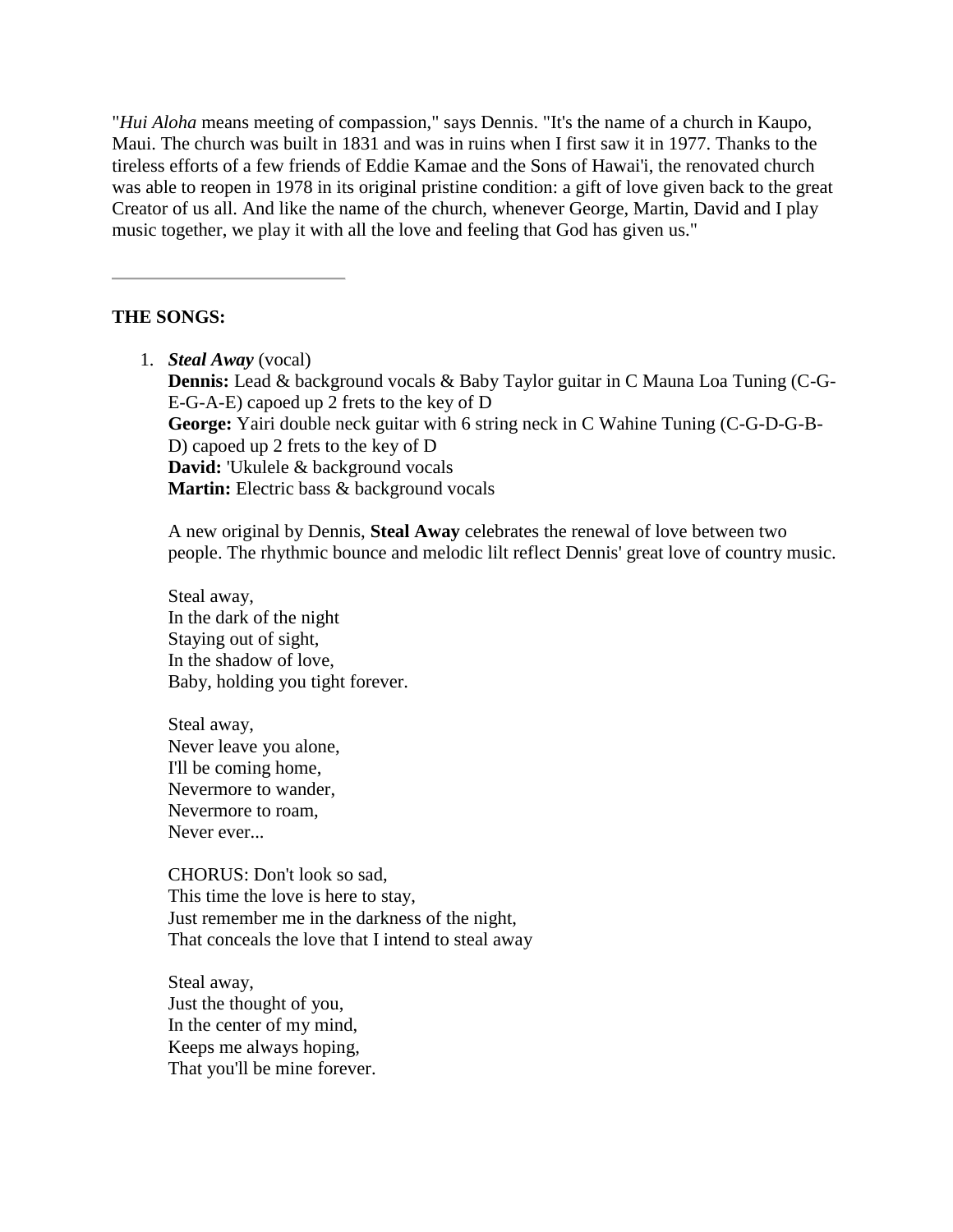"*Hui Aloha* means meeting of compassion," says Dennis. "It's the name of a church in Kaupo, Maui. The church was built in 1831 and was in ruins when I first saw it in 1977. Thanks to the tireless efforts of a few friends of Eddie Kamae and the Sons of Hawai'i, the renovated church was able to reopen in 1978 in its original pristine condition: a gift of love given back to the great Creator of us all. And like the name of the church, whenever George, Martin, David and I play music together, we play it with all the love and feeling that God has given us."

# **THE SONGS:**

1. *Steal Away* (vocal) **Dennis:** Lead & background vocals & Baby Taylor guitar in C Mauna Loa Tuning (C-G-E-G-A-E) capoed up 2 frets to the key of D **George:** Yairi double neck guitar with 6 string neck in C Wahine Tuning (C-G-D-G-B-D) capoed up 2 frets to the key of D **David:** 'Ukulele & background vocals **Martin:** Electric bass & background vocals

A new original by Dennis, **Steal Away** celebrates the renewal of love between two people. The rhythmic bounce and melodic lilt reflect Dennis' great love of country music.

Steal away, In the dark of the night Staying out of sight, In the shadow of love, Baby, holding you tight forever.

Steal away, Never leave you alone, I'll be coming home, Nevermore to wander, Nevermore to roam, Never ever...

CHORUS: Don't look so sad, This time the love is here to stay, Just remember me in the darkness of the night, That conceals the love that I intend to steal away

Steal away, Just the thought of you, In the center of my mind, Keeps me always hoping, That you'll be mine forever.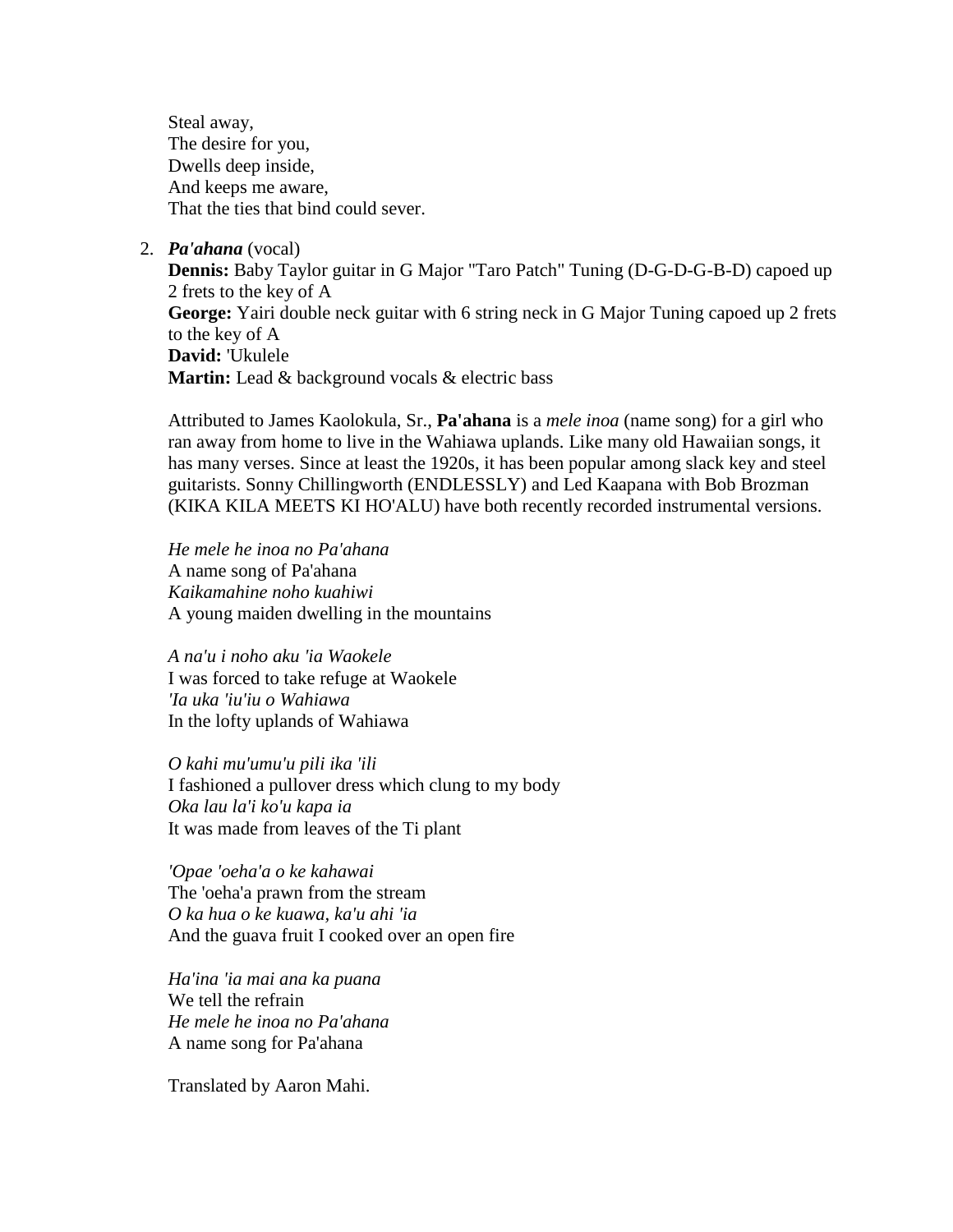Steal away, The desire for you, Dwells deep inside, And keeps me aware, That the ties that bind could sever.

2. *Pa'ahana* (vocal)

**Dennis:** Baby Taylor guitar in G Major "Taro Patch" Tuning (D-G-D-G-B-D) capoed up 2 frets to the key of A **George:** Yairi double neck guitar with 6 string neck in G Major Tuning capoed up 2 frets to the key of A **David:** 'Ukulele Martin: Lead & background vocals & electric bass

Attributed to James Kaolokula, Sr., **Pa'ahana** is a *mele inoa* (name song) for a girl who ran away from home to live in the Wahiawa uplands. Like many old Hawaiian songs, it has many verses. Since at least the 1920s, it has been popular among slack key and steel guitarists. Sonny Chillingworth [\(ENDLESSLY\)](http://dancingcat.com/artists/sonny_chillingworth/recordings_01.html#album1) and Led Kaapana with Bob Brozman (KIKA KILA MEETS KI HO'ALU) have both recently recorded instrumental versions.

*He mele he inoa no Pa'ahana* A name song of Pa'ahana *Kaikamahine noho kuahiwi* A young maiden dwelling in the mountains

*A na'u i noho aku 'ia Waokele* I was forced to take refuge at Waokele *'Ia uka 'iu'iu o Wahiawa* In the lofty uplands of Wahiawa

*O kahi mu'umu'u pili ika 'ili* I fashioned a pullover dress which clung to my body *Oka lau la'i ko'u kapa ia* It was made from leaves of the Ti plant

*'Opae 'oeha'a o ke kahawai* The 'oeha'a prawn from the stream *O ka hua o ke kuawa, ka'u ahi 'ia* And the guava fruit I cooked over an open fire

*Ha'ina 'ia mai ana ka puana* We tell the refrain *He mele he inoa no Pa'ahana* A name song for Pa'ahana

Translated by Aaron Mahi.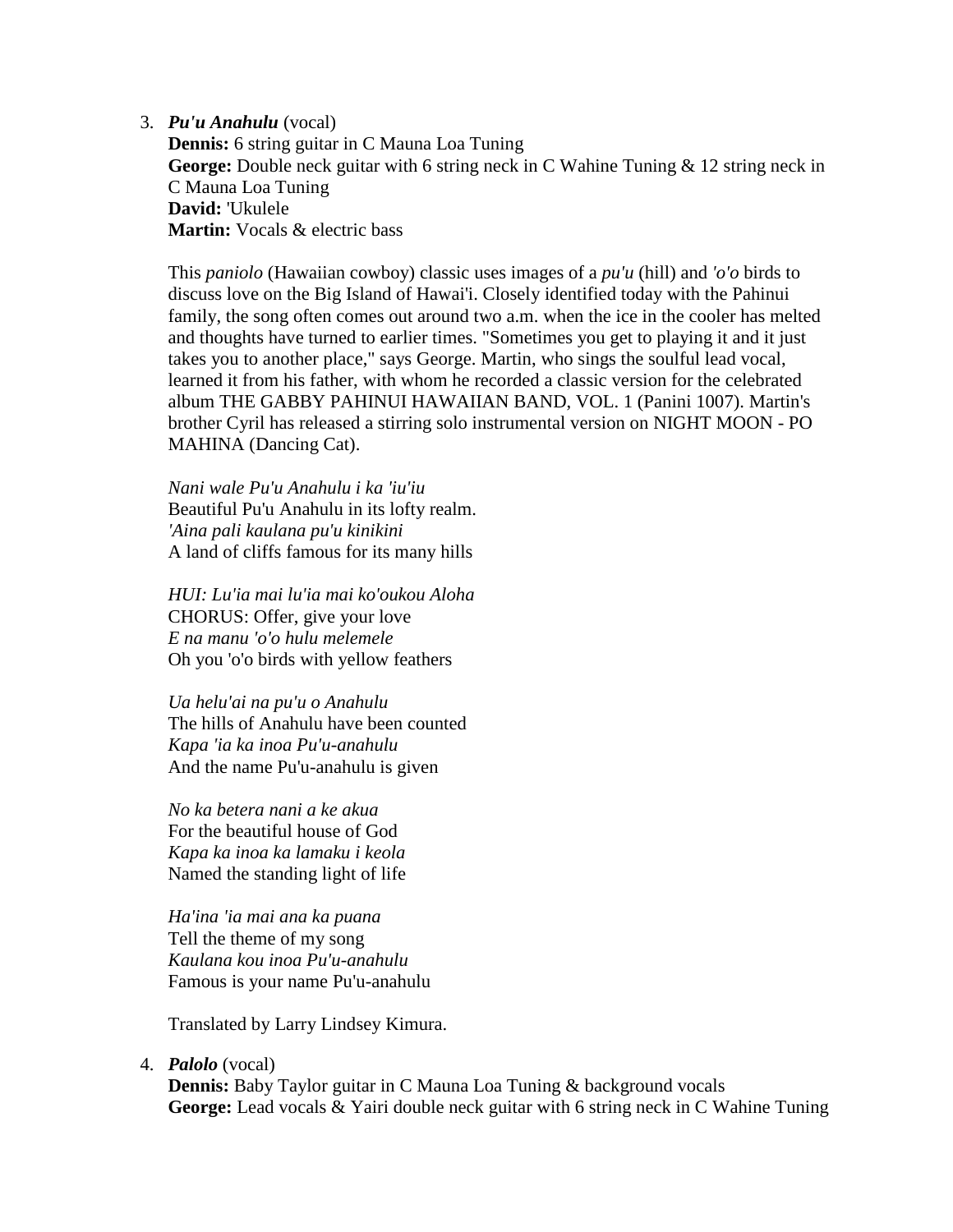3. *Pu'u Anahulu* (vocal)

**Dennis:** 6 string guitar in C Mauna Loa Tuning **George:** Double neck guitar with 6 string neck in C Wahine Tuning & 12 string neck in C Mauna Loa Tuning **David:** 'Ukulele **Martin:** Vocals & electric bass

This *paniolo* (Hawaiian cowboy) classic uses images of a *pu'u* (hill) and *'o'o* birds to discuss love on the Big Island of Hawai'i. Closely identified today with the Pahinui family, the song often comes out around two a.m. when the ice in the cooler has melted and thoughts have turned to earlier times. "Sometimes you get to playing it and it just takes you to another place," says George. Martin, who sings the soulful lead vocal, learned it from his father, with whom he recorded a classic version for the celebrated album THE GABBY PAHINUI HAWAIIAN BAND, VOL. 1 (Panini 1007). Martin's brother Cyril has released a stirring solo instrumental version on NIGHT MOON - PO MAHINA (Dancing Cat).

*Nani wale Pu'u Anahulu i ka 'iu'iu* Beautiful Pu'u Anahulu in its lofty realm. *'Aina pali kaulana pu'u kinikini* A land of cliffs famous for its many hills

*HUI: Lu'ia mai lu'ia mai ko'oukou Aloha* CHORUS: Offer, give your love *E na manu 'o'o hulu melemele* Oh you 'o'o birds with yellow feathers

*Ua helu'ai na pu'u o Anahulu* The hills of Anahulu have been counted *Kapa 'ia ka inoa Pu'u-anahulu* And the name Pu'u-anahulu is given

*No ka betera nani a ke akua* For the beautiful house of God *Kapa ka inoa ka lamaku i keola* Named the standing light of life

*Ha'ina 'ia mai ana ka puana* Tell the theme of my song *Kaulana kou inoa Pu'u-anahulu* Famous is your name Pu'u-anahulu

Translated by Larry Lindsey Kimura.

#### 4. *Palolo* (vocal)

**Dennis:** Baby Taylor guitar in C Mauna Loa Tuning & background vocals **George:** Lead vocals & Yairi double neck guitar with 6 string neck in C Wahine Tuning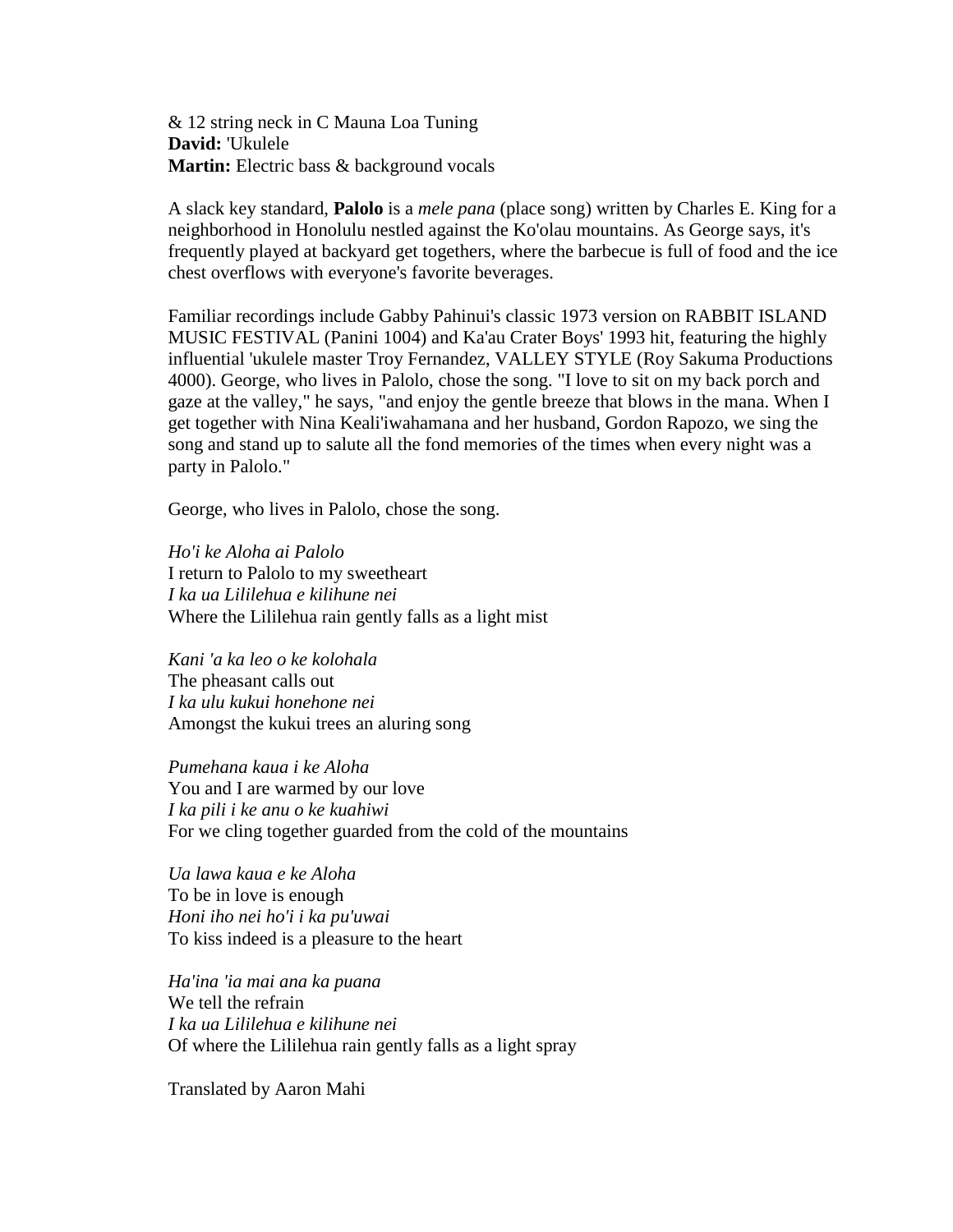& 12 string neck in C Mauna Loa Tuning **David:** 'Ukulele **Martin:** Electric bass & background vocals

A slack key standard, **Palolo** is a *mele pana* (place song) written by Charles E. King for a neighborhood in Honolulu nestled against the Ko'olau mountains. As George says, it's frequently played at backyard get togethers, where the barbecue is full of food and the ice chest overflows with everyone's favorite beverages.

Familiar recordings include Gabby Pahinui's classic 1973 version on RABBIT ISLAND MUSIC FESTIVAL (Panini 1004) and Ka'au Crater Boys' 1993 hit, featuring the highly influential 'ukulele master Troy Fernandez, VALLEY STYLE (Roy Sakuma Productions 4000). George, who lives in Palolo, chose the song. "I love to sit on my back porch and gaze at the valley," he says, "and enjoy the gentle breeze that blows in the mana. When I get together with Nina Keali'iwahamana and her husband, Gordon Rapozo, we sing the song and stand up to salute all the fond memories of the times when every night was a party in Palolo."

George, who lives in Palolo, chose the song.

*Ho'i ke Aloha ai Palolo* I return to Palolo to my sweetheart *I ka ua Lililehua e kilihune nei* Where the Lililehua rain gently falls as a light mist

*Kani 'a ka leo o ke kolohala* The pheasant calls out *I ka ulu kukui honehone nei* Amongst the kukui trees an aluring song

*Pumehana kaua i ke Aloha* You and I are warmed by our love *I ka pili i ke anu o ke kuahiwi* For we cling together guarded from the cold of the mountains

*Ua lawa kaua e ke Aloha* To be in love is enough *Honi iho nei ho'i i ka pu'uwai* To kiss indeed is a pleasure to the heart

*Ha'ina 'ia mai ana ka puana* We tell the refrain *I ka ua Lililehua e kilihune nei* Of where the Lililehua rain gently falls as a light spray

Translated by Aaron Mahi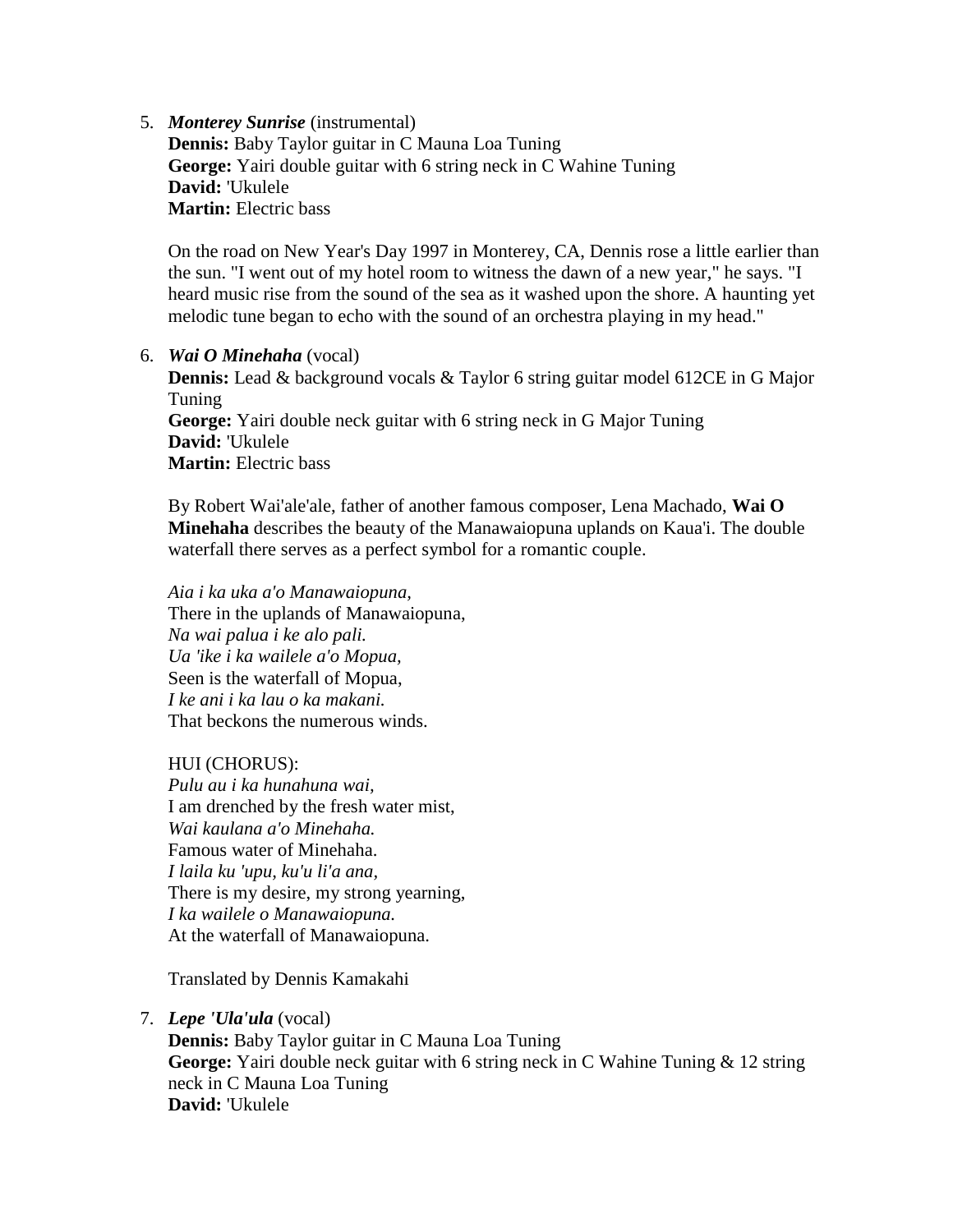5. *Monterey Sunrise* (instrumental)

**Dennis:** Baby Taylor guitar in C Mauna Loa Tuning **George:** Yairi double guitar with 6 string neck in C Wahine Tuning **David:** 'Ukulele **Martin:** Electric bass

On the road on New Year's Day 1997 in Monterey, CA, Dennis rose a little earlier than the sun. "I went out of my hotel room to witness the dawn of a new year," he says. "I heard music rise from the sound of the sea as it washed upon the shore. A haunting yet melodic tune began to echo with the sound of an orchestra playing in my head."

# 6. *Wai O Minehaha* (vocal)

**Dennis:** Lead & background vocals & Taylor 6 string guitar model 612CE in G Major Tuning **George:** Yairi double neck guitar with 6 string neck in G Major Tuning **David:** 'Ukulele **Martin:** Electric bass

By Robert Wai'ale'ale, father of another famous composer, Lena Machado, **Wai O Minehaha** describes the beauty of the Manawaiopuna uplands on Kaua'i. The double waterfall there serves as a perfect symbol for a romantic couple.

*Aia i ka uka a'o Manawaiopuna,* There in the uplands of Manawaiopuna, *Na wai palua i ke alo pali. Ua 'ike i ka wailele a'o Mopua,* Seen is the waterfall of Mopua, *I ke ani i ka lau o ka makani.* That beckons the numerous winds.

# HUI (CHORUS):

*Pulu au i ka hunahuna wai,* I am drenched by the fresh water mist, *Wai kaulana a'o Minehaha.* Famous water of Minehaha. *I laila ku 'upu, ku'u li'a ana,* There is my desire, my strong yearning, *I ka wailele o Manawaiopuna.* At the waterfall of Manawaiopuna.

Translated by Dennis Kamakahi

7. *Lepe 'Ula'ula* (vocal)

**Dennis:** Baby Taylor guitar in C Mauna Loa Tuning **George:** Yairi double neck guitar with 6 string neck in C Wahine Tuning & 12 string neck in C Mauna Loa Tuning **David:** 'Ukulele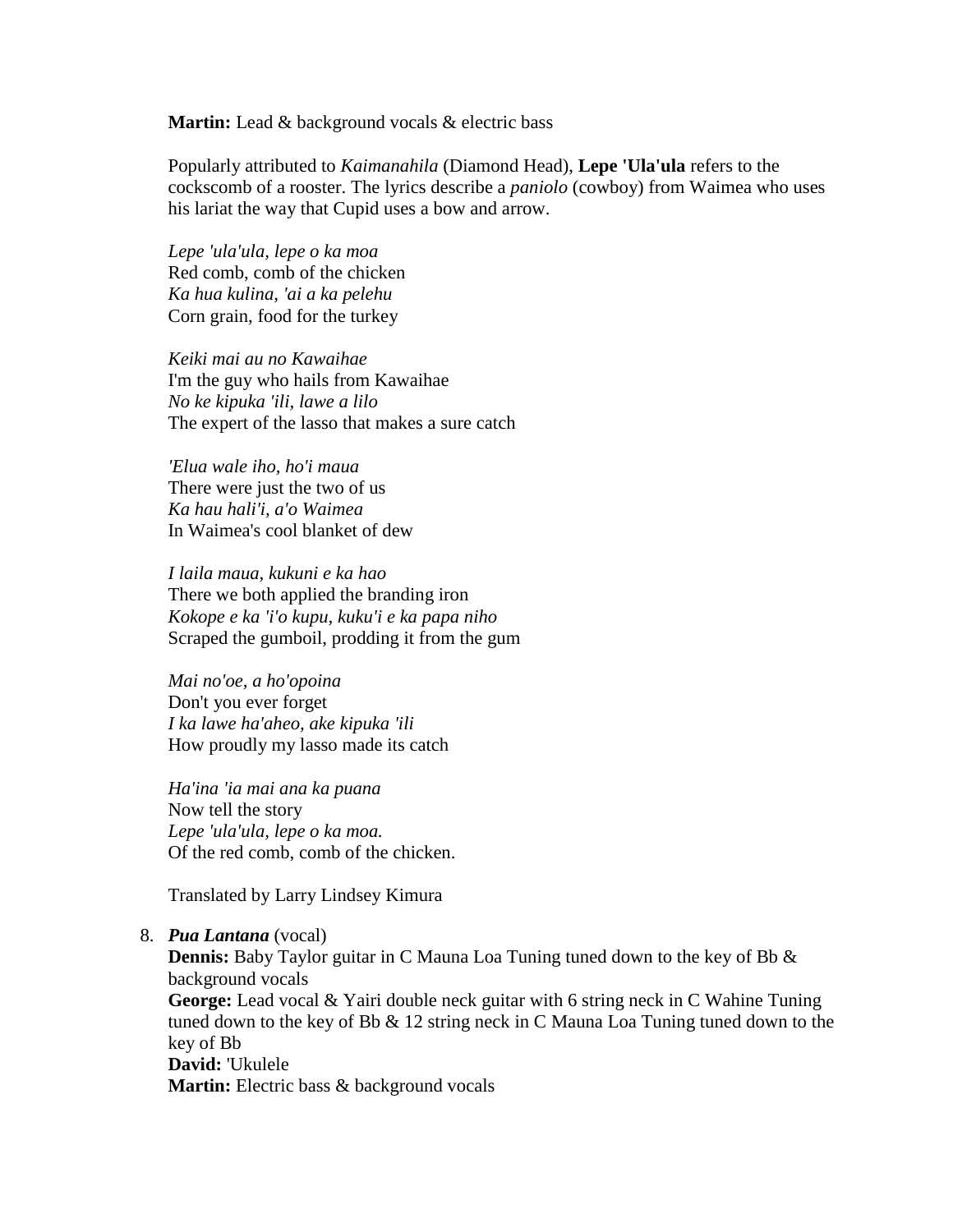**Martin:** Lead & background vocals & electric bass

Popularly attributed to *Kaimanahila* (Diamond Head), **Lepe 'Ula'ula** refers to the cockscomb of a rooster. The lyrics describe a *paniolo* (cowboy) from Waimea who uses his lariat the way that Cupid uses a bow and arrow.

*Lepe 'ula'ula, lepe o ka moa* Red comb, comb of the chicken *Ka hua kulina, 'ai a ka pelehu* Corn grain, food for the turkey

*Keiki mai au no Kawaihae* I'm the guy who hails from Kawaihae *No ke kipuka 'ili, lawe a lilo* The expert of the lasso that makes a sure catch

*'Elua wale iho, ho'i maua* There were just the two of us *Ka hau hali'i, a'o Waimea* In Waimea's cool blanket of dew

*I laila maua, kukuni e ka hao* There we both applied the branding iron *Kokope e ka 'i'o kupu, kuku'i e ka papa niho* Scraped the gumboil, prodding it from the gum

*Mai no'oe, a ho'opoina* Don't you ever forget *I ka lawe ha'aheo, ake kipuka 'ili* How proudly my lasso made its catch

*Ha'ina 'ia mai ana ka puana* Now tell the story *Lepe 'ula'ula, lepe o ka moa.* Of the red comb, comb of the chicken.

Translated by Larry Lindsey Kimura

#### 8. *Pua Lantana* (vocal)

**Dennis:** Baby Taylor guitar in C Mauna Loa Tuning tuned down to the key of Bb & background vocals **George:** Lead vocal & Yairi double neck guitar with 6 string neck in C Wahine Tuning tuned down to the key of Bb & 12 string neck in C Mauna Loa Tuning tuned down to the key of Bb **David:** 'Ukulele

**Martin:** Electric bass & background vocals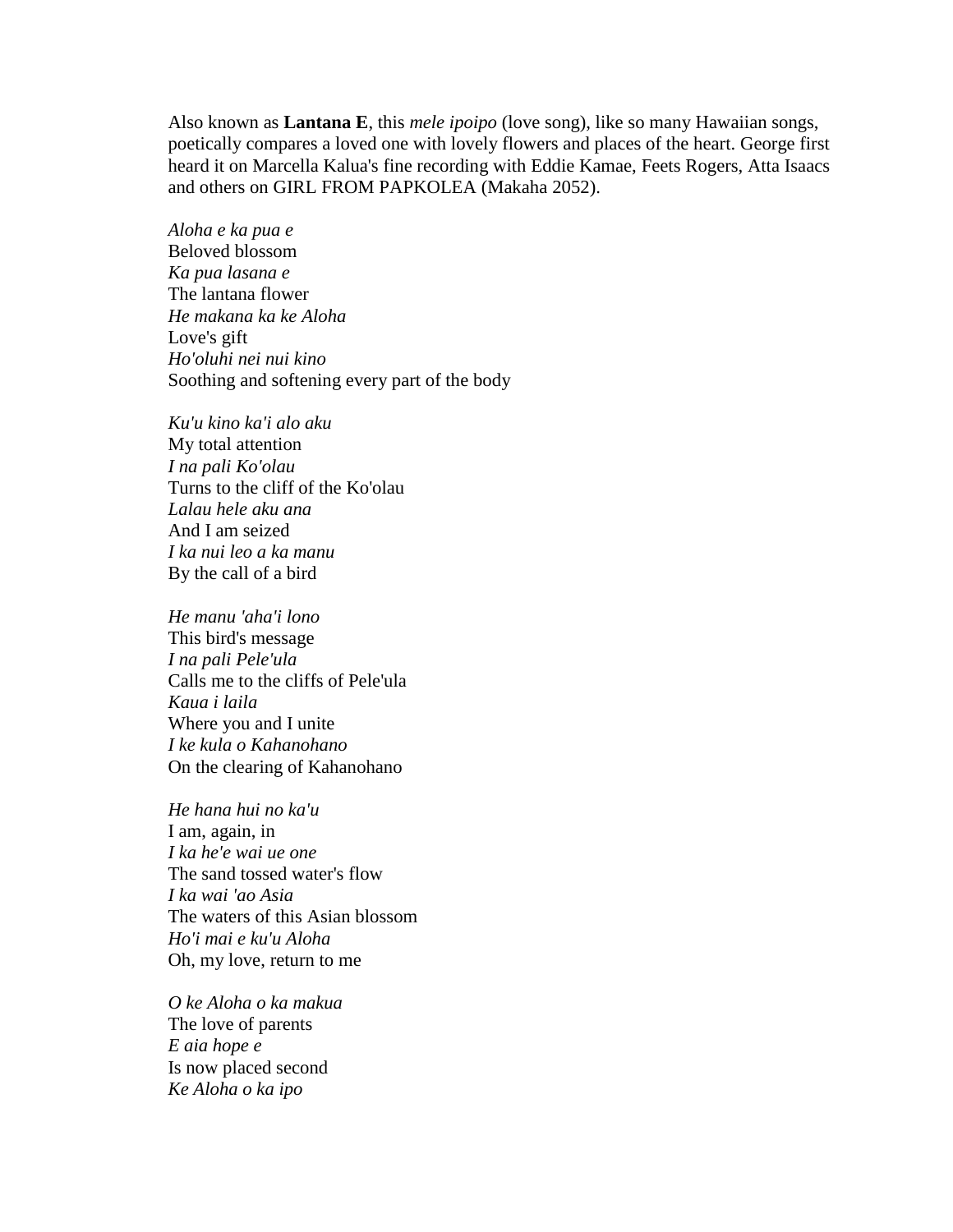Also known as **Lantana E**, this *mele ipoipo* (love song), like so many Hawaiian songs, poetically compares a loved one with lovely flowers and places of the heart. George first heard it on Marcella Kalua's fine recording with Eddie Kamae, Feets Rogers, Atta Isaacs and others on GIRL FROM PAPKOLEA (Makaha 2052).

*Aloha e ka pua e* Beloved blossom *Ka pua lasana e* The lantana flower *He makana ka ke Aloha* Love's gift *Ho'oluhi nei nui kino* Soothing and softening every part of the body

*Ku'u kino ka'i alo aku* My total attention *I na pali Ko'olau* Turns to the cliff of the Ko'olau *Lalau hele aku ana* And I am seized *I ka nui leo a ka manu* By the call of a bird

*He manu 'aha'i lono* This bird's message *I na pali Pele'ula* Calls me to the cliffs of Pele'ula *Kaua i laila* Where you and I unite *I ke kula o Kahanohano* On the clearing of Kahanohano

*He hana hui no ka'u* I am, again, in *I ka he'e wai ue one* The sand tossed water's flow *I ka wai 'ao Asia* The waters of this Asian blossom *Ho'i mai e ku'u Aloha* Oh, my love, return to me

*O ke Aloha o ka makua* The love of parents *E aia hope e* Is now placed second *Ke Aloha o ka ipo*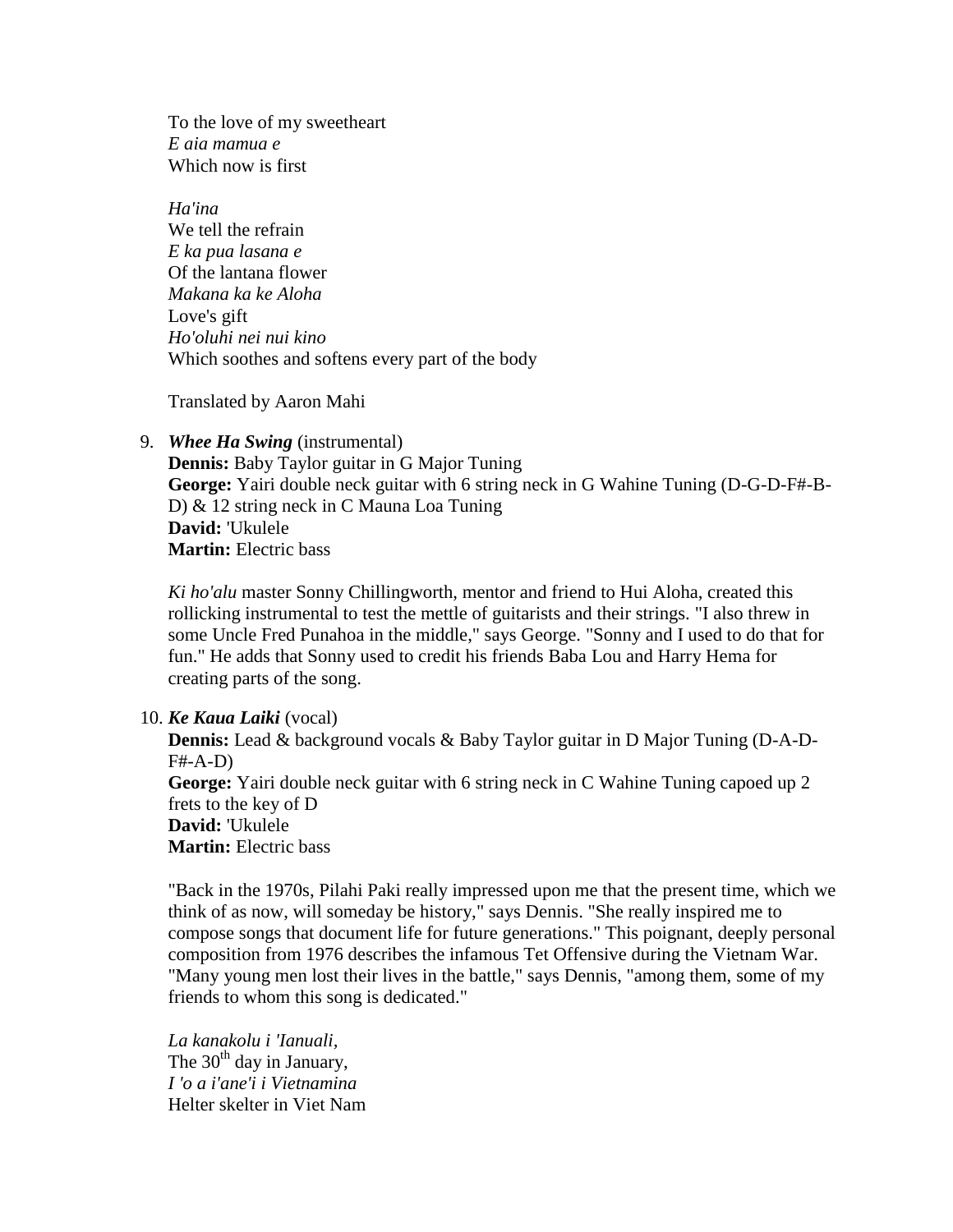To the love of my sweetheart *E aia mamua e* Which now is first

*Ha'ina* We tell the refrain *E ka pua lasana e* Of the lantana flower *Makana ka ke Aloha* Love's gift *Ho'oluhi nei nui kino* Which soothes and softens every part of the body

Translated by Aaron Mahi

9. *Whee Ha Swing* (instrumental)

**Dennis:** Baby Taylor guitar in G Major Tuning **George:** Yairi double neck guitar with 6 string neck in G Wahine Tuning (D-G-D-F#-B-D) & 12 string neck in C Mauna Loa Tuning **David:** 'Ukulele **Martin:** Electric bass

*Ki ho'alu* master Sonny Chillingworth, mentor and friend to Hui Aloha, created this rollicking instrumental to test the mettle of guitarists and their strings. "I also threw in some Uncle Fred Punahoa in the middle," says George. "Sonny and I used to do that for fun." He adds that Sonny used to credit his friends Baba Lou and Harry Hema for creating parts of the song.

# 10. *Ke Kaua Laiki* (vocal)

**Dennis:** Lead & background vocals & Baby Taylor guitar in D Major Tuning (D-A-D-F#-A-D) **George:** Yairi double neck guitar with 6 string neck in C Wahine Tuning capoed up 2 frets to the key of D **David:** 'Ukulele **Martin:** Electric bass

"Back in the 1970s, Pilahi Paki really impressed upon me that the present time, which we think of as now, will someday be history," says Dennis. "She really inspired me to compose songs that document life for future generations." This poignant, deeply personal composition from 1976 describes the infamous Tet Offensive during the Vietnam War. "Many young men lost their lives in the battle," says Dennis, "among them, some of my friends to whom this song is dedicated."

*La kanakolu i 'Ianuali,* The  $30<sup>th</sup>$  day in January, *I 'o a i'ane'i i Vietnamina* Helter skelter in Viet Nam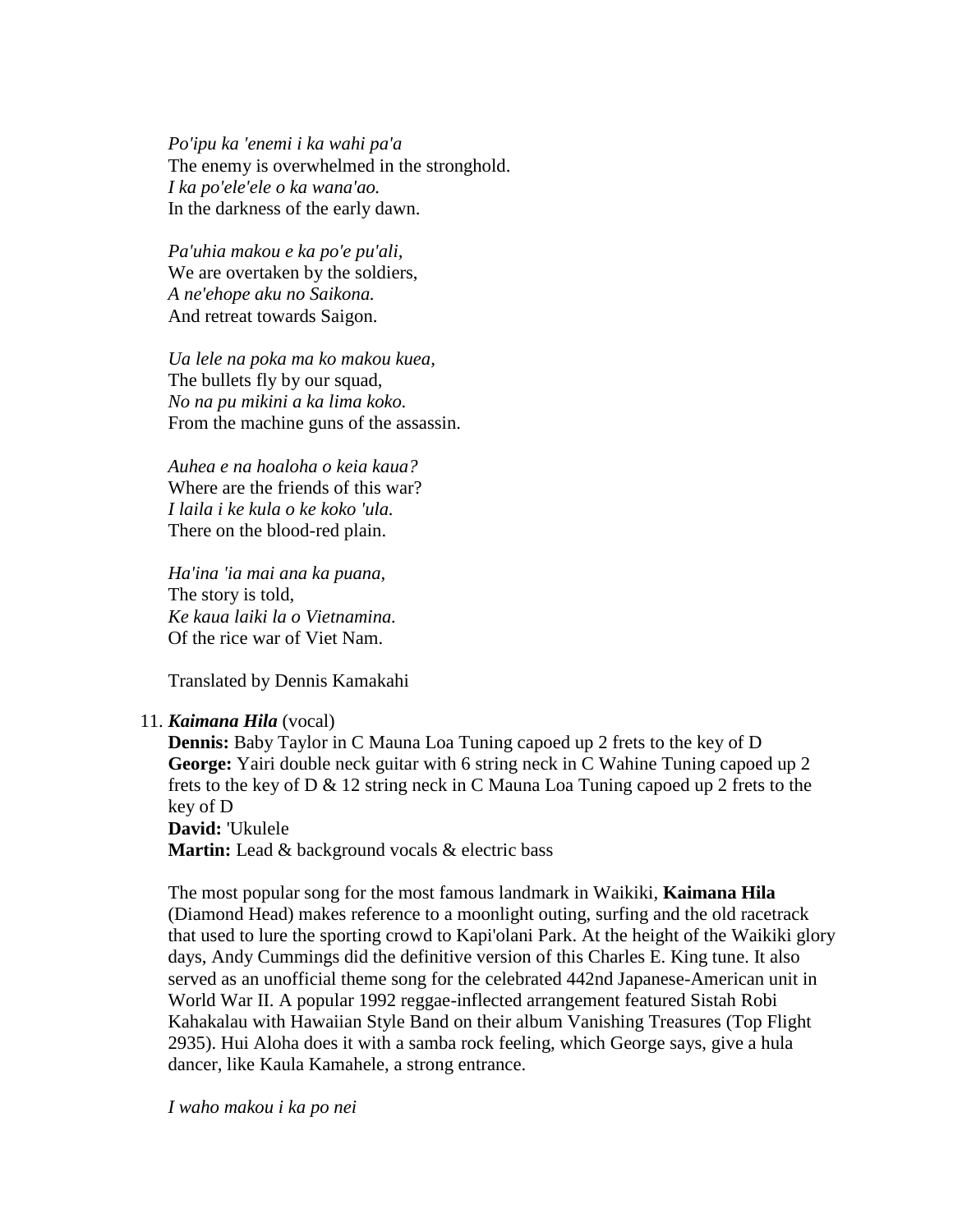*Po'ipu ka 'enemi i ka wahi pa'a* The enemy is overwhelmed in the stronghold. *I ka po'ele'ele o ka wana'ao.* In the darkness of the early dawn.

*Pa'uhia makou e ka po'e pu'ali,* We are overtaken by the soldiers, *A ne'ehope aku no Saikona.* And retreat towards Saigon.

*Ua lele na poka ma ko makou kuea,* The bullets fly by our squad, *No na pu mikini a ka lima koko.* From the machine guns of the assassin.

*Auhea e na hoaloha o keia kaua?* Where are the friends of this war? *I laila i ke kula o ke koko 'ula.* There on the blood-red plain.

*Ha'ina 'ia mai ana ka puana,* The story is told, *Ke kaua laiki la o Vietnamina.* Of the rice war of Viet Nam.

Translated by Dennis Kamakahi

# 11. *Kaimana Hila* (vocal)

**Dennis:** Baby Taylor in C Mauna Loa Tuning capoed up 2 frets to the key of D **George:** Yairi double neck guitar with 6 string neck in C Wahine Tuning capoed up 2 frets to the key of D & 12 string neck in C Mauna Loa Tuning capoed up 2 frets to the key of D **David:** 'Ukulele

**Martin:** Lead & background vocals & electric bass

The most popular song for the most famous landmark in Waikiki, **Kaimana Hila** (Diamond Head) makes reference to a moonlight outing, surfing and the old racetrack that used to lure the sporting crowd to Kapi'olani Park. At the height of the Waikiki glory days, Andy Cummings did the definitive version of this Charles E. King tune. It also served as an unofficial theme song for the celebrated 442nd Japanese-American unit in World War II. A popular 1992 reggae-inflected arrangement featured Sistah Robi Kahakalau with Hawaiian Style Band on their album Vanishing Treasures (Top Flight 2935). Hui Aloha does it with a samba rock feeling, which George says, give a hula dancer, like Kaula Kamahele, a strong entrance.

*I waho makou i ka po nei*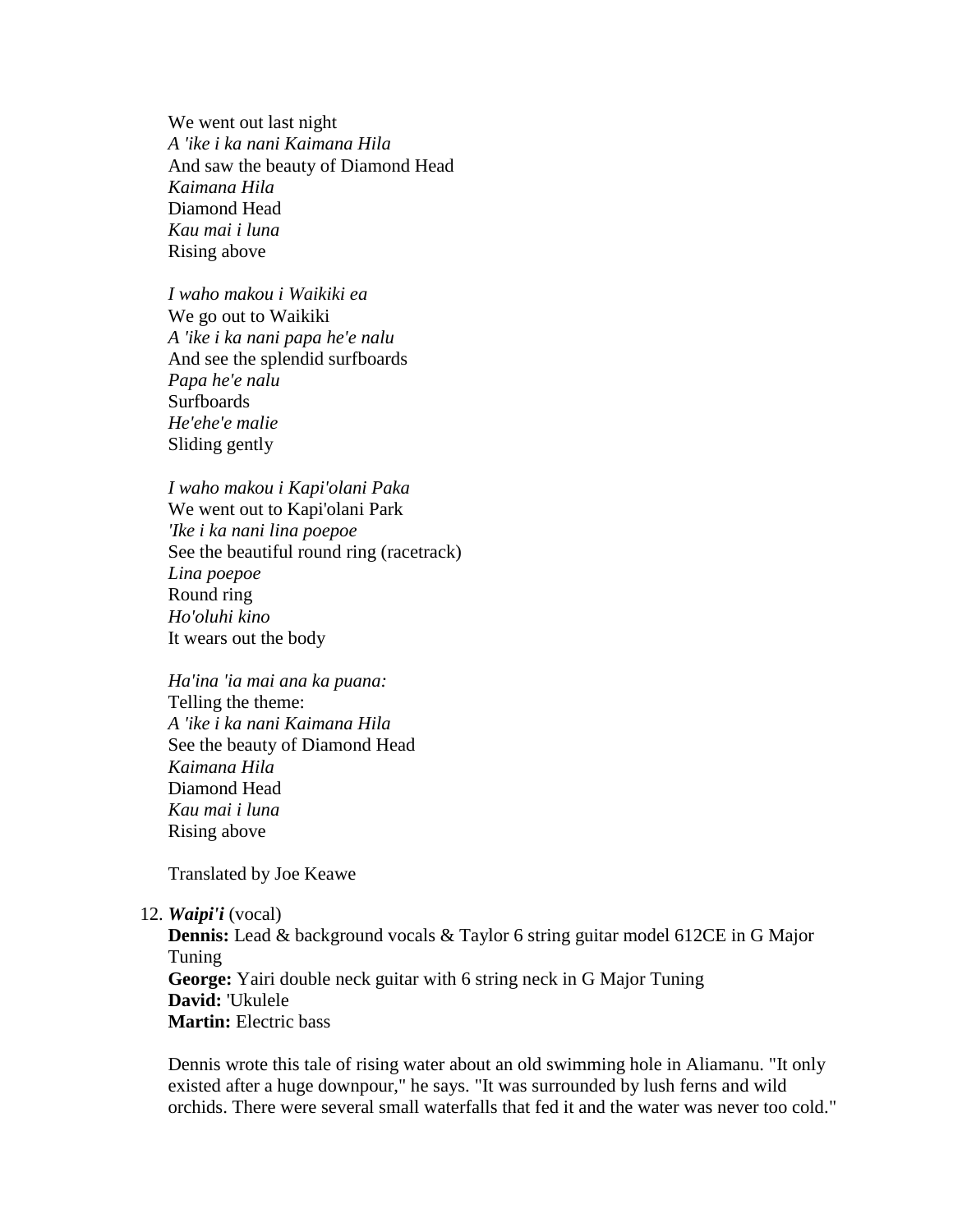We went out last night *A 'ike i ka nani Kaimana Hila* And saw the beauty of Diamond Head *Kaimana Hila* Diamond Head *Kau mai i luna* Rising above

*I waho makou i Waikiki ea* We go out to Waikiki *A 'ike i ka nani papa he'e nalu* And see the splendid surfboards *Papa he'e nalu* **Surfboards** *He'ehe'e malie* Sliding gently

*I waho makou i Kapi'olani Paka* We went out to Kapi'olani Park *'Ike i ka nani lina poepoe* See the beautiful round ring (racetrack) *Lina poepoe* Round ring *Ho'oluhi kino* It wears out the body

*Ha'ina 'ia mai ana ka puana:* Telling the theme: *A 'ike i ka nani Kaimana Hila* See the beauty of Diamond Head *Kaimana Hila* Diamond Head *Kau mai i luna* Rising above

Translated by Joe Keawe

#### 12. *Waipi'i* (vocal)

**Dennis:** Lead & background vocals & Taylor 6 string guitar model 612CE in G Major Tuning **George:** Yairi double neck guitar with 6 string neck in G Major Tuning **David:** 'Ukulele **Martin:** Electric bass

Dennis wrote this tale of rising water about an old swimming hole in Aliamanu. "It only existed after a huge downpour," he says. "It was surrounded by lush ferns and wild orchids. There were several small waterfalls that fed it and the water was never too cold."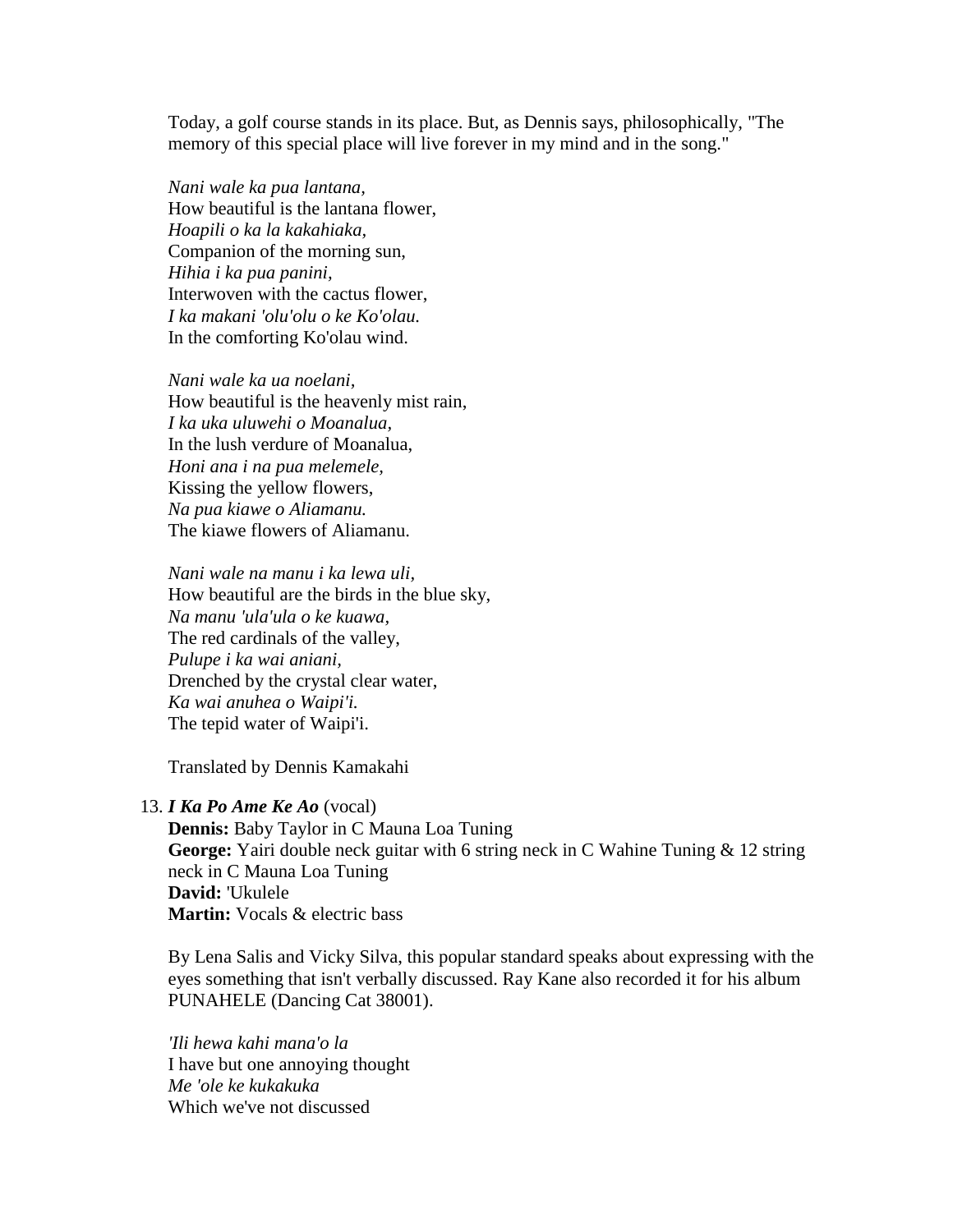Today, a golf course stands in its place. But, as Dennis says, philosophically, "The memory of this special place will live forever in my mind and in the song."

*Nani wale ka pua lantana,* How beautiful is the lantana flower, *Hoapili o ka la kakahiaka,* Companion of the morning sun, *Hihia i ka pua panini,* Interwoven with the cactus flower, *I ka makani 'olu'olu o ke Ko'olau.* In the comforting Ko'olau wind.

*Nani wale ka ua noelani,* How beautiful is the heavenly mist rain, *I ka uka uluwehi o Moanalua,* In the lush verdure of Moanalua, *Honi ana i na pua melemele,* Kissing the yellow flowers, *Na pua kiawe o Aliamanu.* The kiawe flowers of Aliamanu.

*Nani wale na manu i ka lewa uli,* How beautiful are the birds in the blue sky, *Na manu 'ula'ula o ke kuawa,* The red cardinals of the valley, *Pulupe i ka wai aniani,* Drenched by the crystal clear water, *Ka wai anuhea o Waipi'i.* The tepid water of Waipi'i.

Translated by Dennis Kamakahi

#### 13. *I Ka Po Ame Ke Ao* (vocal)

**Dennis:** Baby Taylor in C Mauna Loa Tuning **George:** Yairi double neck guitar with 6 string neck in C Wahine Tuning & 12 string neck in C Mauna Loa Tuning **David:** 'Ukulele **Martin:** Vocals & electric bass

By Lena Salis and Vicky Silva, this popular standard speaks about expressing with the eyes something that isn't verbally discussed. Ray Kane also recorded it for his album PUNAHELE (Dancing Cat 38001).

*'Ili hewa kahi mana'o la* I have but one annoying thought *Me 'ole ke kukakuka* Which we've not discussed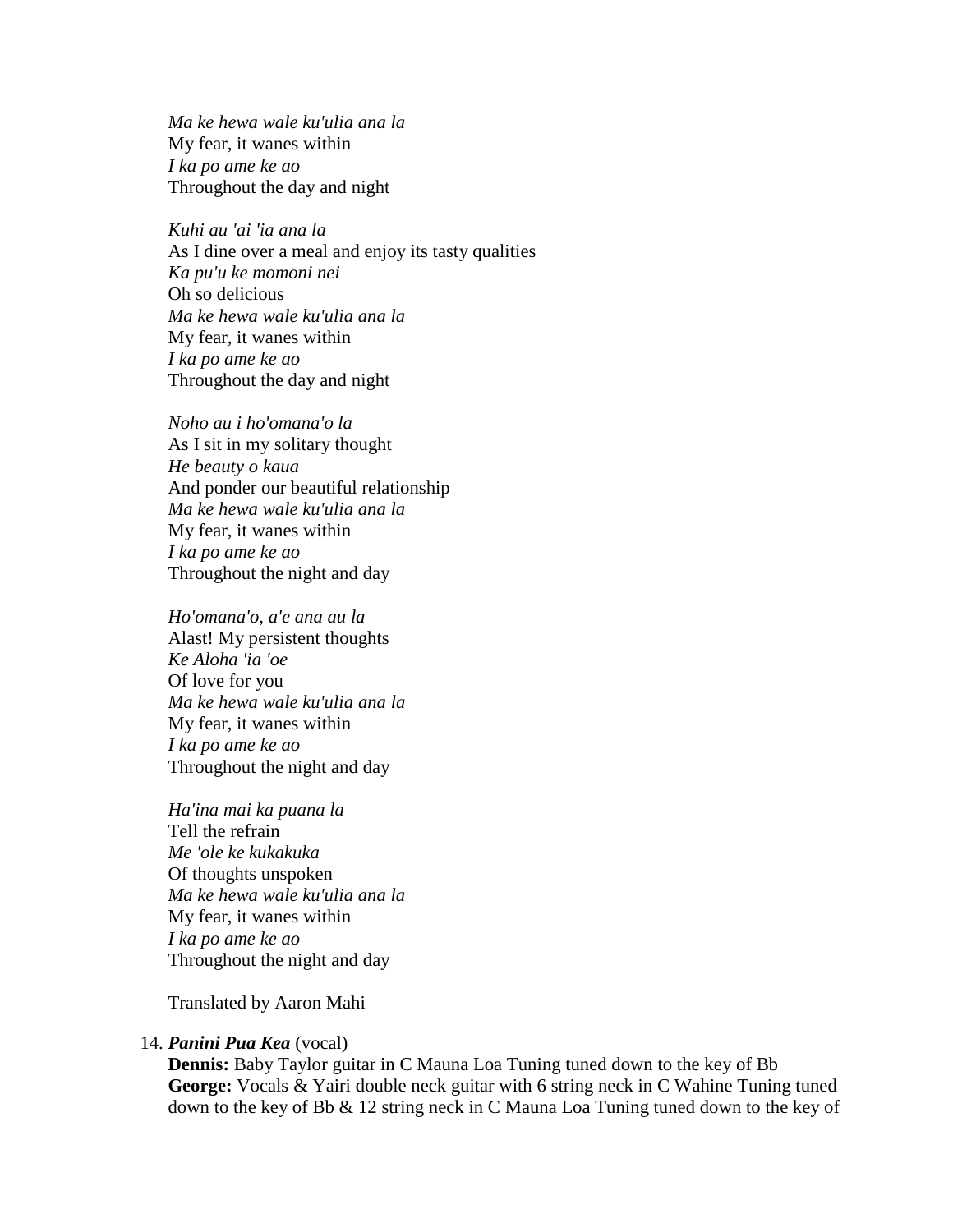*Ma ke hewa wale ku'ulia ana la* My fear, it wanes within *I ka po ame ke ao* Throughout the day and night

*Kuhi au 'ai 'ia ana la* As I dine over a meal and enjoy its tasty qualities *Ka pu'u ke momoni nei* Oh so delicious *Ma ke hewa wale ku'ulia ana la* My fear, it wanes within *I ka po ame ke ao* Throughout the day and night

*Noho au i ho'omana'o la* As I sit in my solitary thought *He beauty o kaua* And ponder our beautiful relationship *Ma ke hewa wale ku'ulia ana la* My fear, it wanes within *I ka po ame ke ao* Throughout the night and day

*Ho'omana'o, a'e ana au la* Alast! My persistent thoughts *Ke Aloha 'ia 'oe* Of love for you *Ma ke hewa wale ku'ulia ana la* My fear, it wanes within *I ka po ame ke ao* Throughout the night and day

*Ha'ina mai ka puana la* Tell the refrain *Me 'ole ke kukakuka* Of thoughts unspoken *Ma ke hewa wale ku'ulia ana la* My fear, it wanes within *I ka po ame ke ao* Throughout the night and day

Translated by Aaron Mahi

#### 14. *Panini Pua Kea* (vocal)

**Dennis:** Baby Taylor guitar in C Mauna Loa Tuning tuned down to the key of Bb **George:** Vocals & Yairi double neck guitar with 6 string neck in C Wahine Tuning tuned down to the key of Bb & 12 string neck in C Mauna Loa Tuning tuned down to the key of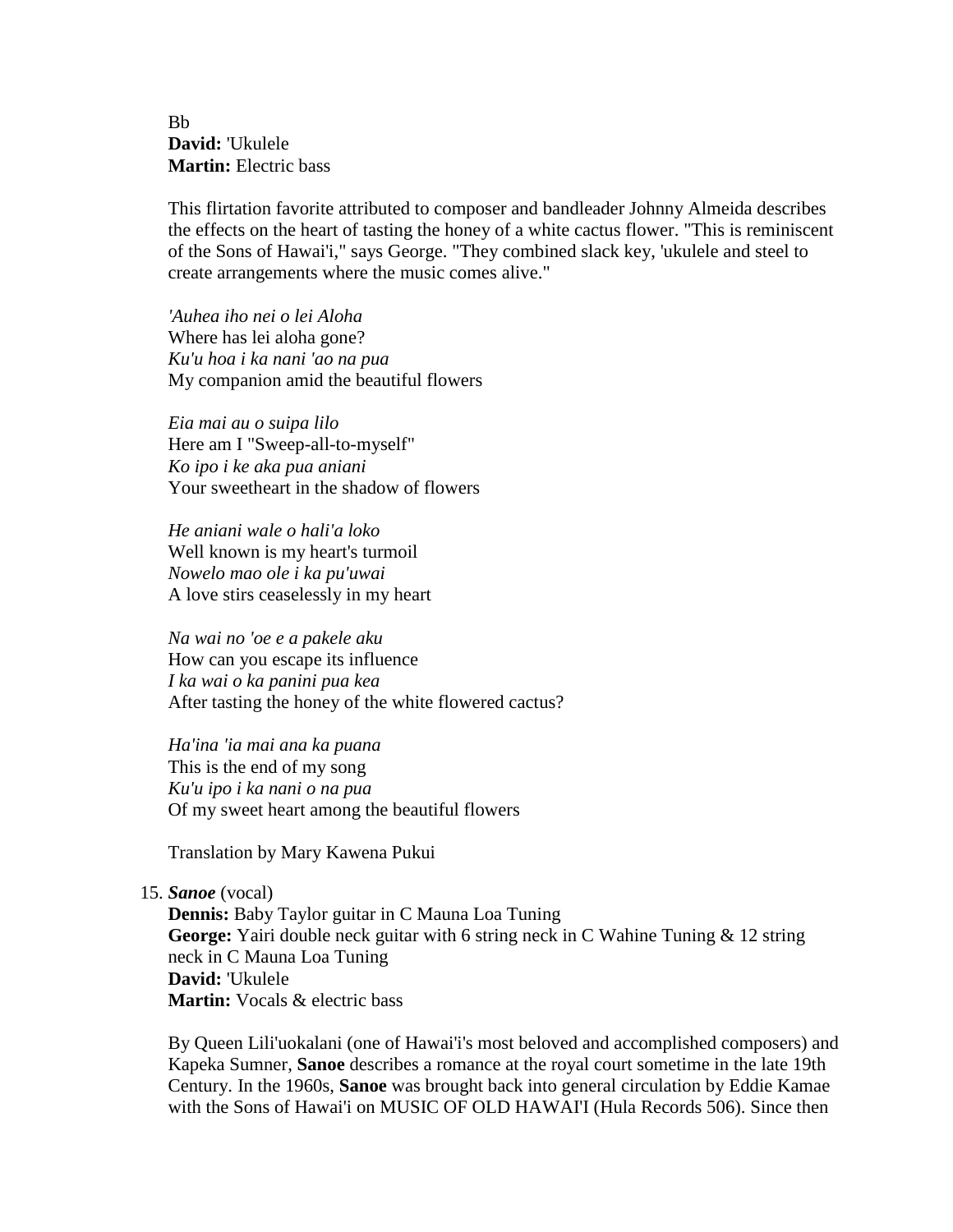Bb **David:** 'Ukulele **Martin:** Electric bass

This flirtation favorite attributed to composer and bandleader Johnny Almeida describes the effects on the heart of tasting the honey of a white cactus flower. "This is reminiscent of the Sons of Hawai'i," says George. "They combined slack key, 'ukulele and steel to create arrangements where the music comes alive."

*'Auhea iho nei o lei Aloha* Where has lei aloha gone? *Ku'u hoa i ka nani 'ao na pua* My companion amid the beautiful flowers

*Eia mai au o suipa lilo* Here am I "Sweep-all-to-myself" *Ko ipo i ke aka pua aniani* Your sweetheart in the shadow of flowers

*He aniani wale o hali'a loko* Well known is my heart's turmoil *Nowelo mao ole i ka pu'uwai* A love stirs ceaselessly in my heart

*Na wai no 'oe e a pakele aku* How can you escape its influence *I ka wai o ka panini pua kea* After tasting the honey of the white flowered cactus?

*Ha'ina 'ia mai ana ka puana* This is the end of my song *Ku'u ipo i ka nani o na pua* Of my sweet heart among the beautiful flowers

Translation by Mary Kawena Pukui

15. *Sanoe* (vocal)

**Dennis:** Baby Taylor guitar in C Mauna Loa Tuning **George:** Yairi double neck guitar with 6 string neck in C Wahine Tuning & 12 string neck in C Mauna Loa Tuning **David:** 'Ukulele **Martin:** Vocals & electric bass

By Queen Lili'uokalani (one of Hawai'i's most beloved and accomplished composers) and Kapeka Sumner, **Sanoe** describes a romance at the royal court sometime in the late 19th Century. In the 1960s, **Sanoe** was brought back into general circulation by Eddie Kamae with the Sons of Hawai'i on MUSIC OF OLD HAWAI'I (Hula Records 506). Since then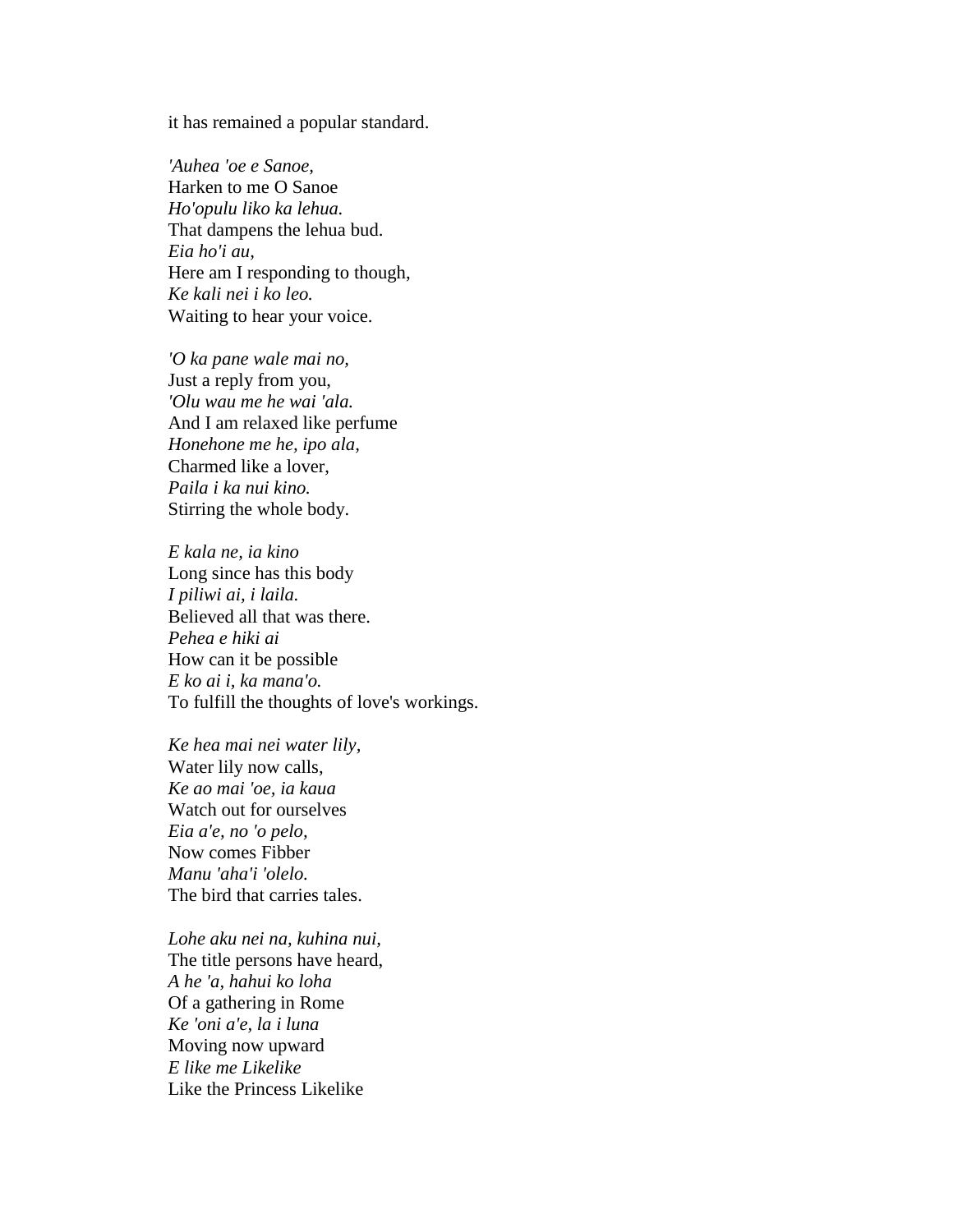it has remained a popular standard.

*'Auhea 'oe e Sanoe,* Harken to me O Sanoe *Ho'opulu liko ka lehua.* That dampens the lehua bud. *Eia ho'i au,* Here am I responding to though, *Ke kali nei i ko leo.* Waiting to hear your voice.

*'O ka pane wale mai no,* Just a reply from you, *'Olu wau me he wai 'ala.* And I am relaxed like perfume *Honehone me he, ipo ala,* Charmed like a lover, *Paila i ka nui kino.* Stirring the whole body.

*E kala ne, ia kino* Long since has this body *I piliwi ai, i laila.* Believed all that was there. *Pehea e hiki ai* How can it be possible *E ko ai i, ka mana'o.* To fulfill the thoughts of love's workings.

*Ke hea mai nei water lily,* Water lily now calls, *Ke ao mai 'oe, ia kaua* Watch out for ourselves *Eia a'e, no 'o pelo,* Now comes Fibber *Manu 'aha'i 'olelo.* The bird that carries tales.

*Lohe aku nei na, kuhina nui,* The title persons have heard, *A he 'a, hahui ko loha* Of a gathering in Rome *Ke 'oni a'e, la i luna* Moving now upward *E like me Likelike* Like the Princess Likelike